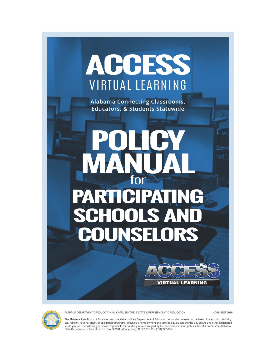



ALABAMA DEPARTMENT OF EDUCATION · MICHAEL SENTANCE, STATE SUPERINTENDENT OF EDUCATION NOVEMBER 2016

The Alabama State Board of Education and the Alabama State Department of Education do not discriminate on the basis of race, color, disability, sex, religion, national origin, or age in their programs, activities, or employment and provide equal access to the Boy Scouts and other designated<br>youth groups. The following person is responsible for handling inquiries r State Department of Education, P.O. Box 302101, Montgomery, AL 36130-2101, (334) 242-8165.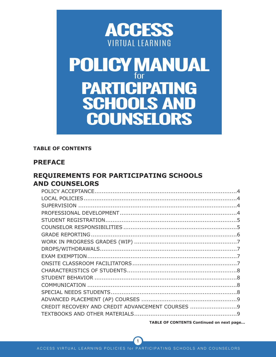

# **POLICY MANUAL** for **PARTICIPATING SCHOOLS AND COUNSELORS**

#### **TABLE OF CONTENTS**

#### **PREFACE**

## **REQUIREMENTS FOR PARTICIPATING SCHOOLS AND COUNSELORS**

| CREDIT RECOVERY AND CREDIT ADVANCEMENT COURSES 9 |  |
|--------------------------------------------------|--|
|                                                  |  |
|                                                  |  |

**TABLE OF CONTENTS Continued on next page...**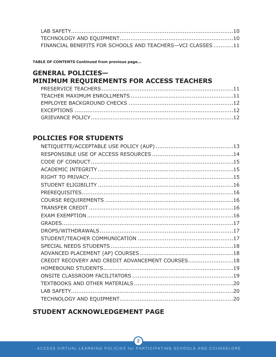| FINANCIAL BENEFITS FOR SCHOOLS AND TEACHERS-VCI CLASSES 11 |  |
|------------------------------------------------------------|--|

**TABLE OF CONTENTS Continued from previous page...**

## **GENERAL POLICIES— MINIMUM REQUIREMENTS FOR ACCESS TEACHERS**

## **POLICIES FOR STUDENTS**

| CREDIT RECOVERY AND CREDIT ADVANCEMENT COURSES18 |  |
|--------------------------------------------------|--|
|                                                  |  |
|                                                  |  |
|                                                  |  |
|                                                  |  |
|                                                  |  |

## **STUDENT ACKNOWLEDGEMENT PAGE**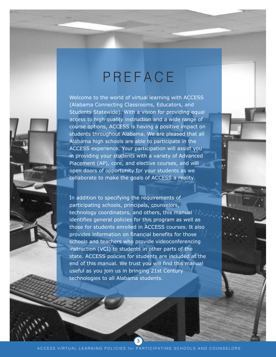# **PREFACE**

Welcome to the world of virtual learning with ACCESS (Alabama Connecting Classrooms, Educators, and Students Statewide). With a vision for providing equal access to high quality instruction and a wide range of course options, ACCESS is having a positive impact on students throughout Alabama. We are pleased that all Alabama high schools are able to participate in the ACCESS experience. Your participation will assist you in providing your students with a variety of Advanced Placement (AP), core, and elective courses, and will open doors of opportunity for your students as we collaborate to make the goals of ACCESS a reality.

In addition to specifying the requirements of participating schools, principals, counselors, technology coordinators, and others, this manual identifies general policies for this program as well as those for students enrolled in ACCESS courses. It also provides information on financial benefits for those schools and teachers who provide videoconferencing instruction (VCI) to students in other parts of the state. ACCESS policies for students are included at the end of this manual. We trust you will find this manual useful as you join us in bringing 21st Century technologies to all Alabama students.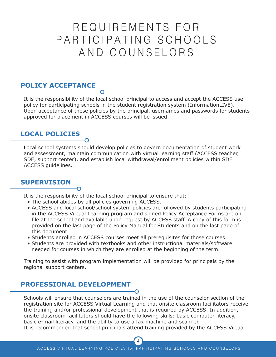## REQUIREMENTS FOR PARTICIPATING SCHOOLS AND COUNSELORS

#### **POLICY ACCEPTANCE**

It is the responsibility of the local school principal to access and accept the ACCESS use policy for participating schools in the student registration system (InformationLIVE). Upon acceptance of these policies by the principal, usernames and passwords for students approved for placement in ACCESS courses will be issued.

## **LOCAL POLICIES**

Local school systems should develop policies to govern documentation of student work and assessment, maintain communication with virtual learning staff (ACCESS teacher, SDE, support center), and establish local withdrawal/enrollment policies within SDE ACCESS guidelines.

#### **SUPERVISION**

It is the responsibility of the local school principal to ensure that:

- The school abides by all policies governing ACCESS.
- ACCESS and local school/school system policies are followed by students participating in the ACCESS Virtual Learning program and signed Policy Acceptance Forms are on file at the school and available upon request by ACCESS staff. A copy of this form is provided on the last page of the Policy Manual for Students and on the last page of this document.
- Students enrolled in ACCESS courses meet all prerequisites for those courses.
- Students are provided with textbooks and other instructional materials/software needed for courses in which they are enrolled at the beginning of the term.

Training to assist with program implementation will be provided for principals by the regional support centers.

#### **PROFESSIONAL DEVELOPMENT**

Schools will ensure that counselors are trained in the use of the counselor section of the registration site for ACCESS Virtual Learning and that onsite classroom facilitators receive the training and/or professional development that is required by ACCESS. In addition, onsite classroom facilitators should have the following skills: basic computer literacy, basic e-mail literacy, and the ability to use a fax machine and scanner.

It is recommended that school principals attend training provided by the ACCESS Virtual

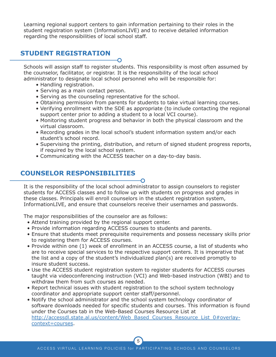Learning regional support centers to gain information pertaining to their roles in the student registration system (InformationLIVE) and to receive detailed information regarding the responsibilities of local school staff.

## **STUDENT REGISTRATION**

Schools will assign staff to register students. This responsibility is most often assumed by the counselor, facilitator, or registrar. It is the responsibility of the local school administrator to designate local school personnel who will be responsible for:

- Handling registration.
- Serving as a main contact person.
- Serving as the counseling representative for the school.
- Obtaining permission from parents for students to take virtual learning courses.
- Verifying enrollment with the SDE as appropriate (to include contacting the regional support center prior to adding a student to a local VCI course).
- Monitoring student progress and behavior in both the physical classroom and the virtual classroom.
- Recording grades in the local school's student information system and/or each student's school record.
- Supervising the printing, distribution, and return of signed student progress reports, if required by the local school system.
- Communicating with the ACCESS teacher on a day-to-day basis.

## **COUNSELOR RESPONSIBILITIES**

It is the responsibility of the local school administrator to assign counselors to register students for ACCESS classes and to follow up with students on progress and grades in these classes. Principals will enroll counselors in the student registration system, InformationLIVE, and ensure that counselors receive their usernames and passwords.

The major responsibilities of the counselor are as follows:

- Attend training provided by the regional support center.
- Provide information regarding ACCESS courses to students and parents.
- Ensure that students meet prerequisite requirements and possess necessary skills prior to registering them for ACCESS courses.
- Provide within one (1) week of enrollment in an ACCESS course, a list of students who are to receive special services to the respective support centers. It is imperative that the list and a copy of the student's individualized plan(s) are received promptly to insure student success.
- Use the ACCESS student registration system to register students for ACCESS courses taught via videoconferencing instruction (VCI) and Web-based instruction (WBI) and to withdraw them from such courses as needed.
- Report technical issues with student registration to the school system technology coordinator and appropriate support center staff/personnel.
- Notify the school administrator and the school system technology coordinator of software downloads needed for specific students and courses. This information is found under the Courses tab in the Web-Based Courses Resource List at [http://accessdl.state.al.us/content/Web\\_Based\\_Courses\\_Resource\\_List\\_0#overlay](http://accessdl.state.al.us/content/Web_Based_Courses_Resource_List_0#overlay-context=courses)[context=courses.](http://accessdl.state.al.us/content/Web_Based_Courses_Resource_List_0#overlay-context=courses)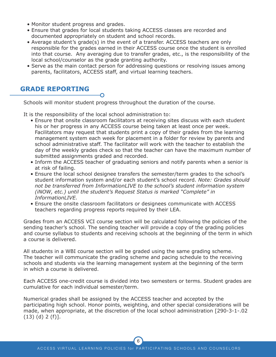- Monitor student progress and grades.
- Ensure that grades for local students taking ACCESS classes are recorded and documented appropriately on student and school records.
- Average student's grade(s) in the event of a transfer. ACCESS teachers are only responsible for the grades earned in their ACCESS course once the student is enrolled into that course. Any averaging due to transfer grades, etc., is the responsibility of the local school/counselor as the grade granting authority.
- Serve as the main contact person for addressing questions or resolving issues among parents, facilitators, ACCESS staff, and virtual learning teachers.

#### **GRADE REPORTING**

Schools will monitor student progress throughout the duration of the course.

It is the responsibility of the local school administration to:

- Ensure that onsite classroom facilitators at receiving sites discuss with each student his or her progress in any ACCESS course being taken at least once per week. Facilitators may request that students print a copy of their grades from the learning management system each week for placement in a folder for review by parents and school administrative staff. The facilitator will work with the teacher to establish the day of the weekly grades check so that the teacher can have the maximum number of submitted assignments graded and recorded.
- Inform the ACCESS teacher of graduating seniors and notify parents when a senior is at risk of failing.
- Ensure the local school designee transfers the semester/term grades to the school's student information system and/or each student's school record. *Note: Grades should not be transferred from InformationLIVE to the school's student information system (iNOW, etc.) until the student's Request Status is marked "Complete" in InformationLIVE.*
- Ensure the onsite classroom facilitators or designees communicate with ACCESS teachers regarding progress reports required by their LEA.

Grades from an ACCESS VCI course section will be calculated following the policies of the sending teacher's school. The sending teacher will provide a copy of the grading policies and course syllabus to students and receiving schools at the beginning of the term in which a course is delivered.

All students in a WBI course section will be graded using the same grading scheme. The teacher will communicate the grading scheme and pacing schedule to the receiving schools and students via the learning management system at the beginning of the term in which a course is delivered.

Each ACCESS one-credit course is divided into two semesters or terms. Student grades are cumulative for each individual semester/term.

Numerical grades shall be assigned by the ACCESS teacher and accepted by the participating high school. Honor points, weighting, and other special considerations will be made, when appropriate, at the discretion of the local school administration [290-3-1-.02 (13) (d) 2 (f)].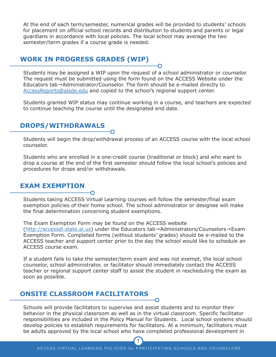At the end of each term/semester, numerical grades will be provided to students' schools for placement on official school records and distribution to students and parents or legal guardians in accordance with local policies. The local school may average the two semester/term grades if a course grade is needed.

#### **WORK IN PROGRESS GRADES (WIP)**

Students may be assigned a WIP upon the request of a school administrator or counselor. The request must be submitted using the form found on the ACCESS Website under the Educators tab→Administrator/Counselor. The form should be e-mailed directly to [AccessReports@alsde.edu](mailto:AccessReports@alsde.edu) and copied to the school's regional support center.

Students granted WIP status may continue working in a course, and teachers are expected to continue teaching the course until the designated end date.

#### **DROPS/WITHDRAWALS**

Students will begin the drop/withdrawal process of an ACCESS course with the local school counselor.

Students who are enrolled in a one-credit course (traditional or block) and who want to drop a course at the end of the first semester should follow the local school's policies and procedures for drops and/or withdrawals.

#### **EXAM EXEMPTION**

Students taking ACCESS Virtual Learning courses will follow the semester/final exam exemption policies of their home school. The school administrator or designee will make the final determination concerning student exemptions.

The Exam Exemption Form may be found on the ACCESS website [\(http://accessdl.state.al.us\)](http://accessdl.state.al.us) under the Educators tab→Administrators/Counselors→Exam Exemption Form. Completed forms (without students' grades) should be e-mailed to the ACCESS teacher and support center prior to the day the school would like to schedule an ACCESS course exam.

If a student fails to take the semester/term exam and was not exempt, the local school counselor, school administrator, or facilitator should immediately contact the ACCESS teacher or regional support center staff to assist the student in rescheduling the exam as soon as possible.

#### **ONSITE CLASSROOM FACILITATORS**

Schools will provide facilitators to supervise and assist students and to monitor their behavior in the physical classroom as well as in the virtual classroom. Specific facilitator responsibilities are included in the Policy Manual for Students. Local school systems should develop policies to establish requirements for facilitators. At a minimum, facilitators must be adults approved by the local school who have completed professional development in

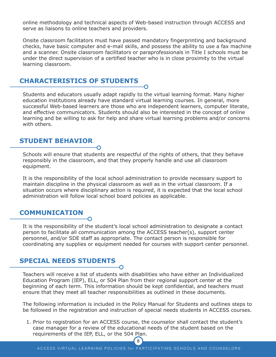online methodology and technical aspects of Web-based instruction through ACCESS and serve as liaisons to online teachers and providers.

Onsite classroom facilitators must have passed mandatory fingerprinting and background checks, have basic computer and e-mail skills, and possess the ability to use a fax machine and a scanner. Onsite classroom facilitators or paraprofessionals in Title I schools must be under the direct supervision of a certified teacher who is in close proximity to the virtual learning classroom.

### **CHARACTERISTICS OF STUDENTS**

Students and educators usually adapt rapidly to the virtual learning format. Many higher education institutions already have standard virtual learning courses. In general, more successful Web-based learners are those who are independent learners, computer literate, and effective communicators. Students should also be interested in the concept of online learning and be willing to ask for help and share virtual learning problems and/or concerns with others.

#### **STUDENT BEHAVIOR**

Schools will ensure that students are respectful of the rights of others, that they behave responsibly in the classroom, and that they properly handle and use all classroom equipment.

It is the responsibility of the local school administration to provide necessary support to maintain discipline in the physical classroom as well as in the virtual classroom. If a situation occurs where disciplinary action is required, it is expected that the local school administration will follow local school board policies as applicable.

#### **COMMUNICATION**

It is the responsibility of the student's local school administration to designate a contact person to facilitate all communication among the ACCESS teacher(s), support center personnel, and/or SDE staff as appropriate. The contact person is responsible for coordinating any supplies or equipment needed for courses with support center personnel.

#### **SPECIAL NEEDS STUDENTS**

Teachers will receive a list of students with disabilities who have either an Individualized Education Program (IEP), ELL, or 504 Plan from their regional support center at the beginning of each term. This information should be kept confidential, and teachers must ensure that they meet all teacher responsibilities as outlined in these documents.

The following information is included in the Policy Manual for Students and outlines steps to be followed in the registration and instruction of special needs students in ACCESS courses.

1. Prior to registration for an ACCESS course, the counselor shall contact the student's case manager for a review of the educational needs of the student based on the requirements of the IEP, ELL, or the 504 Plan.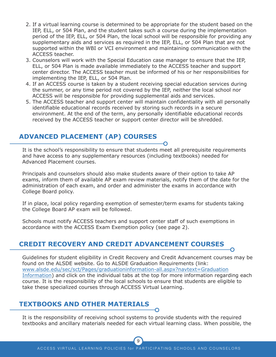- 2. If a virtual learning course is determined to be appropriate for the student based on the IEP, ELL, or 504 Plan, and the student takes such a course during the implementation period of the IEP, ELL, or 504 Plan, the local school will be responsible for providing any supplementary aids and services as required in the IEP, ELL, or 504 Plan that are not supported within the WBI or VCI environment and maintaining communication with the ACCESS teacher.
- 3. Counselors will work with the Special Education case manager to ensure that the IEP, ELL, or 504 Plan is made available immediately to the ACCESS teacher and support center director. The ACCESS teacher must be informed of his or her responsibilities for implementing the IEP, ELL, or 504 Plan.
- 4. If an ACCESS course is taken by a student receiving special education services during the summer, or any time period not covered by the IEP, neither the local school nor ACCESS will be responsible for providing supplemental aids and services.
- 5. The ACCESS teacher and support center will maintain confidentiality with all personally identifiable educational records received by storing such records in a secure environment. At the end of the term, any personally identifiable educational records received by the ACCESS teacher or support center director will be shredded.

## **ADVANCED PLACEMENT (AP) COURSES**

It is the school's responsibility to ensure that students meet all prerequisite requirements and have access to any supplementary resources (including textbooks) needed for Advanced Placement courses.

Principals and counselors should also make students aware of their option to take AP exams, inform them of available AP exam review materials, notify them of the date for the administration of each exam, and order and administer the exams in accordance with College Board policy.

If in place, local policy regarding exemption of semester/term exams for students taking the College Board AP exam will be followed.

Schools must notify ACCESS teachers and support center staff of such exemptions in accordance with the ACCESS Exam Exemption policy (see page 2).

## **CREDIT RECOVERY AND CREDIT ADVANCEMENT COURSES**

Guidelines for student eligibility in Credit Recovery and Credit Advancement courses may be found on the ALSDE website. Go to ALSDE Graduation Requirements (link: [www.alsde.edu/sec/sct/Pages/graduationinformation-all.aspx?navtext=Graduation](http://www.alsde.edu/sec/sct/Pages/graduationinformation-all.aspx?navtext=Graduation Information) [Information\)](http://www.alsde.edu/sec/sct/Pages/graduationinformation-all.aspx?navtext=Graduation Information) and click on the individual tabs at the top for more information regarding each course. It is the responsibility of the local schools to ensure that students are eligible to take these specialized courses through ACCESS Virtual Learning.

#### **TEXTBOOKS AND OTHER MATERIALS**

It is the responsibility of receiving school systems to provide students with the required textbooks and ancillary materials needed for each virtual learning class. When possible, the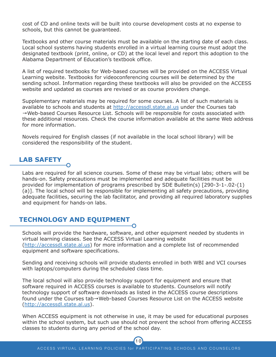cost of CD and online texts will be built into course development costs at no expense to schools, but this cannot be guaranteed.

Textbooks and other course materials must be available on the starting date of each class. Local school systems having students enrolled in a virtual learning course must adopt the designated textbook (print, online, or CD) at the local level and report this adoption to the Alabama Department of Education's textbook office.

A list of required textbooks for Web-based courses will be provided on the ACCESS Virtual Learning website. Textbooks for videoconferencing courses will be determined by the sending school. Information regarding these textbooks will also be provided on the ACCESS website and updated as courses are revised or as course providers change.

Supplementary materials may be required for some courses. A list of such materials is available to schools and students at <http://accessdl.state.al.us> under the Courses tab →Web-based Courses Resource List. Schools will be responsible for costs associated with these additional resources. Check the course information available at the same Web address for more information.

Novels required for English classes (if not available in the local school library) will be considered the responsibility of the student.

## **LAB SAFETY**

Labs are required for all science courses. Some of these may be virtual labs; others will be hands-on. Safety precautions must be implemented and adequate facilities must be provided for implementation of programs prescribed by SDE Bulletin(s) [290-3-1-.02-(1) (a)]. The local school will be responsible for implementing all safety precautions, providing adequate facilities, securing the lab facilitator, and providing all required laboratory supplies and equipment for hands-on labs.

#### **TECHNOLOGY AND EQUIPMENT**

Schools will provide the hardware, software, and other equipment needed by students in virtual learning classes. See the ACCESS Virtual Learning website [\(http://accessdl.state.al.us\)](http://accessdl.state.al.us) for more information and a complete list of recommended equipment and software specifications.

Sending and receiving schools will provide students enrolled in both WBI and VCI courses with laptops/computers during the scheduled class time.

The local school will also provide technology support for equipment and ensure that software required in ACCESS courses is available to students. Counselors will notify technology support of software downloads as listed in the ACCESS course descriptions found under the Courses tab→Web-based Courses Resource List on the ACCESS website [\(http://accessdl.state.al.us\)](http://accessdl.state.al.us).

When ACCESS equipment is not otherwise in use, it may be used for educational purposes within the school system, but such use should not prevent the school from offering ACCESS classes to students during any period of the school day.

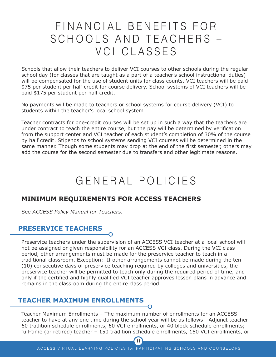## FINANCIAL BENEFITS FOR SCHOOLS AND TEACHERS -VCI CLASSES

Schools that allow their teachers to deliver VCI courses to other schools during the regular school day (for classes that are taught as a part of a teacher's school instructional duties) will be compensated for the use of student units for class counts. VCI teachers will be paid \$75 per student per half credit for course delivery. School systems of VCI teachers will be paid \$175 per student per half credit.

No payments will be made to teachers or school systems for course delivery (VCI) to students within the teacher's local school system.

Teacher contracts for one-credit courses will be set up in such a way that the teachers are under contract to teach the entire course, but the pay will be determined by verification from the support center and VCI teacher of each student's completion of 30% of the course by half credit. Stipends to school systems sending VCI courses will be determined in the same manner. Though some students may drop at the end of the first semester, others may add the course for the second semester due to transfers and other legitimate reasons.

## GENERAL POLICIES

## **MINIMUM REQUIREMENTS FOR ACCESS TEACHERS**

See *ACCESS Policy Manual for Teachers.*

## **PRESERVICE TEACHERS**

Preservice teachers under the supervision of an ACCESS VCI teacher at a local school will not be assigned or given responsibility for an ACCESS VCI class. During the VCI class period, other arrangements must be made for the preservice teacher to teach in a traditional classroom. Exception: If other arrangements cannot be made during the ten (10) consecutive days of preservice teaching required by colleges and universities, the preservice teacher will be permitted to teach only during the required period of time, and only if the certified and highly qualified VCI teacher approves lesson plans in advance and remains in the classroom during the entire class period.

#### **TEACHER MAXIMUM ENROLLMENTS**

Teacher Maximum Enrollments – The maximum number of enrollments for an ACCESS teacher to have at any one time during the school year will be as follows: Adjunct teacher – 60 tradition schedule enrollments, 60 VCI enrollments, or 40 block schedule enrollments; full-time (or retired) teacher – 150 tradition schedule enrollments, 150 VCI enrollments, or

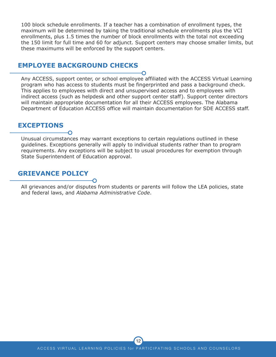100 block schedule enrollments. If a teacher has a combination of enrollment types, the maximum will be determined by taking the traditional schedule enrollments plus the VCI enrollments, plus 1.5 times the number of block enrollments with the total not exceeding the 150 limit for full time and 60 for adjunct. Support centers may choose smaller limits, but these maximums will be enforced by the support centers.

#### **EMPLOYEE BACKGROUND CHECKS**

Any ACCESS, support center, or school employee affiliated with the ACCESS Virtual Learning program who has access to students must be fingerprinted and pass a background check. This applies to employees with direct and unsupervised access and to employees with indirect access (such as helpdesk and other support center staff). Support center directors will maintain appropriate documentation for all their ACCESS employees. The Alabama Department of Education ACCESS office will maintain documentation for SDE ACCESS staff.

#### **EXCEPTIONS**

Unusual circumstances may warrant exceptions to certain regulations outlined in these guidelines. Exceptions generally will apply to individual students rather than to program requirements. Any exceptions will be subject to usual procedures for exemption through State Superintendent of Education approval.

#### **GRIEVANCE POLICY**

All grievances and/or disputes from students or parents will follow the LEA policies, state and federal laws, and *Alabama Administrative Code*.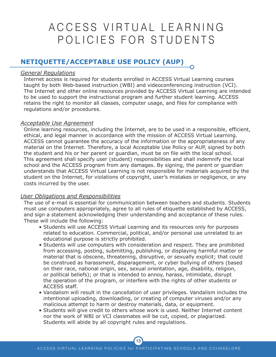## A C C E S S V I R T U A L L E A R N I N G POLICIES FOR STUDENTS

## **NETIQUETTE/ACCEPTABLE USE POLICY (AUP)**

#### *General Regulations*

Internet access is required for students enrolled in ACCESS Virtual Learning courses taught by both Web-based instruction (WBI) and videoconferencing instruction (VCI). The Internet and other online resources provided by ACCESS Virtual Learning are intended to be used to support the instructional program and further student learning. ACCESS retains the right to monitor all classes, computer usage, and files for compliance with regulations and/or procedures.

#### *Acceptable Use Agreement*

Online learning resources, including the Internet, are to be used in a responsible, efficient, ethical, and legal manner in accordance with the mission of ACCESS Virtual Learning. ACCESS cannot guarantee the accuracy of the information or the appropriateness of any material on the Internet. Therefore, a local Acceptable Use Policy or AUP, signed by both the student and his or her parent or guardian, must be on file with the local school. This agreement shall specify user (student) responsibilities and shall indemnify the local school and the ACCESS program from any damages. By signing, the parent or guardian understands that ACCESS Virtual Learning is not responsible for materials acquired by the student on the Internet, for violations of copyright, user's mistakes or negligence, or any costs incurred by the user.

#### *User Obligations and Responsibilities*

The use of e-mail is essential for communication between teachers and students. Students must use computers appropriately, agree to all rules of etiquette established by ACCESS, and sign a statement acknowledging their understanding and acceptance of these rules. These will include the following:

- Students will use ACCESS Virtual Learning and its resources only for purposes related to education. Commercial, political, and/or personal use unrelated to an educational purpose is strictly prohibited.
- Students will use computers with consideration and respect. They are prohibited from accessing, posting, submitting, publishing, or displaying harmful matter or material that is obscene, threatening, disruptive, or sexually explicit; that could be construed as harassment, disparagement, or cyber bullying of others (based on their race, national origin, sex, sexual orientation, age, disability, religion, or political beliefs); or that is intended to annoy, harass, intimidate, disrupt the operation of the program, or interfere with the rights of other students or ACCESS staff.
- Vandalism will result in the cancellation of user privileges. Vandalism includes the intentional uploading, downloading, or creating of computer viruses and/or any malicious attempt to harm or destroy materials, data, or equipment.
- Students will give credit to others whose work is used. Neither Internet content nor the work of WBI or VCI classmates will be cut, copied, or plagiarized. Students will abide by all copyright rules and regulations.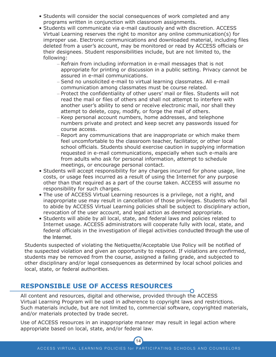- Students will consider the social consequences of work completed and any programs written in conjunction with classroom assignments.
- Students will communicate via e-mail cautiously and with discretion. ACCESS Virtual Learning reserves the right to monitor any online communication(s) for improper use. Electronic communications and downloaded material, including files deleted from a user's account, may be monitored or read by ACCESS officials or their designees. Student responsibilities include, but are not limited to, the following:
	- Refrain from including information in e-mail messages that is not appropriate for printing or discussion in a public setting. Privacy cannot be assured in e-mail communications.
	- Send no unsolicited e-mail to virtual learning classmates. All e-mail communication among classmates must be course related.
	- Protect the confidentiality of other users' mail or files. Students will not read the mail or files of others and shall not attempt to interfere with another user's ability to send or receive electronic mail, nor shall they attempt to delete, copy, modify, or forge the mail of others.
	- Keep personal account numbers, home addresses, and telephone numbers private and protect and keep secret any passwords issued for course access.
	- Report any communications that are inappropriate or which make them feel uncomfortable to the classroom teacher, facilitator, or other local school officials. Students should exercise caution in supplying information requested in e-mail communications, especially when such e-mails are from adults who ask for personal information, attempt to schedule meetings, or encourage personal contact.
- Students will accept responsibility for any charges incurred for phone usage, line costs, or usage fees incurred as a result of using the Internet for any purpose other than that required as a part of the course taken. ACCESS will assume no responsibility for such charges.
- The use of ACCESS Virtual Learning resources is a privilege, not a right, and inappropriate use may result in cancellation of those privileges. Students who fail to abide by ACCESS Virtual Learning policies shall be subject to disciplinary action, revocation of the user account, and legal action as deemed appropriate.
- Students will abide by all local, state, and federal laws and policies related to Internet usage. ACCESS administrators will cooperate fully with local, state, and federal officials in the investigation of illegal activities conducted through the use of the Internet.

Students suspected of violating the Netiquette/Acceptable Use Policy will be notified of the suspected violation and given an opportunity to respond. If violations are confirmed, students may be removed from the course, assigned a failing grade, and subjected to other disciplinary and/or legal consequences as determined by local school policies and local, state, or federal authorities.

## **RESPONSIBLE USE OF ACCESS RESOURCES**

All content and resources, digital and otherwise, provided through the ACCESS Virtual Learning Program will be used in adherence to copyright laws and restrictions. Such materials include, but are not limited to, commercial software, copyrighted materials, and/or materials protected by trade secret.

Use of ACCESS resources in an inappropriate manner may result in legal action where appropriate based on local, state, and/or federal law.

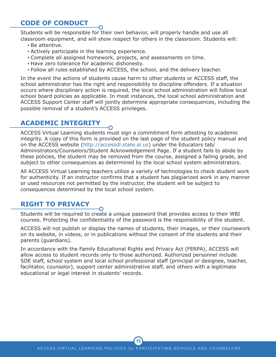## **CODE OF CONDUCT**

Students will be responsible for their own behavior, will properly handle and use all classroom equipment, and will show respect for others in the classroom. Students will:

- Be attentive.
- Actively participate in the learning experience.
- Complete all assigned homework, projects, and assessments on time.
- Have zero tolerance for academic dishonesty.
- Follow all rules established by ACCESS, the school, and the delivery teacher.

In the event the actions of students cause harm to other students or ACCESS staff, the school administrator has the right and responsibility to discipline offenders. If a situation occurs where disciplinary action is required, the local school administration will follow local school board policies as applicable. In most instances, the local school administration and ACCESS Support Center staff will jointly determine appropriate consequences, including the possible removal of a student's ACCESS privileges.

## **ACADEMIC INTEGRITY**

ACCESS Virtual Learning students must sign a commitment form attesting to academic integrity. A copy of this form is provided on the last page of the student policy manual and on the ACCESS website [\(http://accessdl.state.al.us\)](http://accessdl.state.al.us) under the Educators tab/ Administrators/Counselors/Student Acknowledgement Page. If a student fails to abide by these policies, the student may be removed from the course, assigned a failing grade, and subject to other consequences as determined by the local school system administrators.

All ACCESS Virtual Learning teachers utilize a variety of technologies to check student work for authenticity. If an instructor confirms that a student has plagiarized work in any manner or used resources not permitted by the instructor, the student will be subject to consequences determined by the local school system.

## **RIGHT TO PRIVACY**

Students will be required to create a unique password that provides access to their WBI courses. Protecting the confidentiality of the password is the responsibility of the student.

ACCESS will not publish or display the names of students, their images, or their coursework on its website, in videos, or in publications without the consent of the students and their parents (guardians).

In accordance with the Family Educational Rights and Privacy Act (FERPA), ACCESS will allow access to student records only to those authorized. Authorized personnel include SDE staff, school system and local school professional staff (principal or designee, teacher, facilitator, counselor), support center administrative staff, and others with a legitimate educational or legal interest in students' records.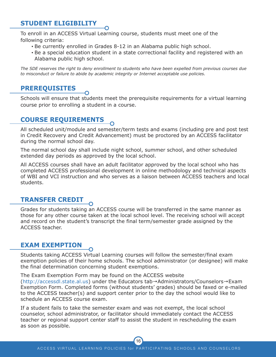## **STUDENT ELIGIBILITY**

To enroll in an ACCESS Virtual Learning course, students must meet one of the following criteria:

- Be currently enrolled in Grades 8-12 in an Alabama public high school.
- Be a special education student in a state correctional facility and registered with an Alabama public high school.

The SDE reserves the right to deny enrollment to students who have been expelled from previous courses due *to misconduct or failure to abide by academic integrity or Internet acceptable use policies.*

## **PREREQUISITES**

Schools will ensure that students meet the prerequisite requirements for a virtual learning course prior to enrolling a student in a course.

### **COURSE REQUIREMENTS**

All scheduled unit/module and semester/term tests and exams (including pre and post test in Credit Recovery and Credit Advancement) must be proctored by an ACCESS facilitator during the normal school day.

The normal school day shall include night school, summer school, and other scheduled extended day periods as approved by the local school.

All ACCESS courses shall have an adult facilitator approved by the local school who has completed ACCESS professional development in online methodology and technical aspects of WBI and VCI instruction and who serves as a liaison between ACCESS teachers and local students.

## **TRANSFER CREDIT**

Grades for students taking an ACCESS course will be transferred in the same manner as those for any other course taken at the local school level. The receiving school will accept and record on the student's transcript the final term/semester grade assigned by the ACCESS teacher.

## **EXAM EXEMPTION**

Students taking ACCESS Virtual Learning courses will follow the semester/final exam exemption policies of their home schools. The school administrator (or designee) will make the final determination concerning student exemptions.

The Exam Exemption Form may be found on the ACCESS website

[\(http://accessdl.state.al.us\)](http://accessdl.state.al.us) under the Educators tab→Administrators/Counselors→Exam Exemption Form. Completed forms (without students' grades) should be faxed or e-mailed to the ACCESS teacher(s) and support center prior to the day the school would like to schedule an ACCESS course exam.

If a student fails to take the semester exam and was not exempt, the local school counselor, school administrator, or facilitator should immediately contact the ACCESS teacher or regional support center staff to assist the student in rescheduling the exam as soon as possible.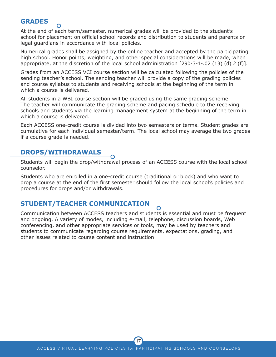#### **GRADES**

At the end of each term/semester, numerical grades will be provided to the student's school for placement on official school records and distribution to students and parents or legal guardians in accordance with local policies.

Numerical grades shall be assigned by the online teacher and accepted by the participating high school. Honor points, weighting, and other special considerations will be made, when appropriate, at the discretion of the local school administration [290-3-1-.02 (13) (d) 2 (f)].

Grades from an ACCESS VCI course section will be calculated following the policies of the sending teacher's school. The sending teacher will provide a copy of the grading policies and course syllabus to students and receiving schools at the beginning of the term in which a course is delivered.

All students in a WBI course section will be graded using the same grading scheme. The teacher will communicate the grading scheme and pacing schedule to the receiving schools and students via the learning management system at the beginning of the term in which a course is delivered.

Each ACCESS one-credit course is divided into two semesters or terms. Student grades are cumulative for each individual semester/term. The local school may average the two grades if a course grade is needed.

#### **DROPS/WITHDRAWALS**

Students will begin the drop/withdrawal process of an ACCESS course with the local school counselor.

Students who are enrolled in a one-credit course (traditional or block) and who want to drop a course at the end of the first semester should follow the local school's policies and procedures for drops and/or withdrawals.

#### **STUDENT/TEACHER COMMUNICATION**

Communication between ACCESS teachers and students is essential and must be frequent and ongoing. A variety of modes, including e-mail, telephone, discussion boards, Web conferencing, and other appropriate services or tools, may be used by teachers and students to communicate regarding course requirements, expectations, grading, and other issues related to course content and instruction.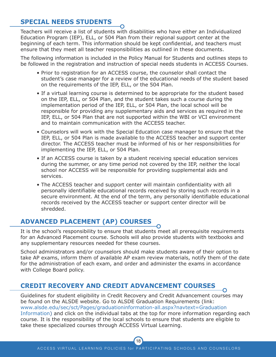## **SPECIAL NEEDS STUDENTS**

Teachers will receive a list of students with disabilities who have either an Individualized Education Program (IEP), ELL, or 504 Plan from their regional support center at the beginning of each term. This information should be kept confidential, and teachers must ensure that they meet all teacher responsibilities as outlined in these documents.

The following information is included in the Policy Manual for Students and outlines steps to be followed in the registration and instruction of special needs students in ACCESS Courses.

- Prior to registration for an ACCESS course, the counselor shall contact the student's case manager for a review of the educational needs of the student based on the requirements of the IEP, ELL, or the 504 Plan.
- If a virtual learning course is determined to be appropriate for the student based on the IEP, ELL, or 504 Plan, and the student takes such a course during the implementation period of the IEP, ELL, or 504 Plan, the local school will be responsible for providing any supplementary aids and services as required in the IEP, ELL, or 504 Plan that are not supported within the WBI or VCI environment and to maintain communication with the ACCESS teacher.
- Counselors will work with the Special Education case manager to ensure that the IEP, ELL, or 504 Plan is made available to the ACCESS teacher and support center director. The ACCESS teacher must be informed of his or her responsibilities for implementing the IEP, ELL, or 504 Plan.
- If an ACCESS course is taken by a student receiving special education services during the summer, or any time period not covered by the IEP, neither the local school nor ACCESS will be responsible for providing supplemental aids and services.
- The ACCESS teacher and support center will maintain confidentiality with all personally identifiable educational records received by storing such records in a secure environment. At the end of the term, any personally identifiable educational records received by the ACCESS teacher or support center director will be shredded.

## **ADVANCED PLACEMENT (AP) COURSES**

It is the school's responsibility to ensure that students meet all prerequisite requirements for an Advanced Placement course. Schools will also provide students with textbooks and any supplementary resources needed for these courses.

School administrators and/or counselors should make students aware of their option to take AP exams, inform them of available AP exam review materials, notify them of the date for the administration of each exam, and order and administer the exams in accordance with College Board policy.

## **CREDIT RECOVERY AND CREDIT ADVANCEMENT COURSES**

Guidelines for student eligibility in Credit Recovery and Credit Advancement courses may be found on the ALSDE website. Go to ALSDE Graduation Requirements (link: [www.alsde.edu/sec/sct/Pages/graduationinformation-all.aspx?navtext=Graduation](www.alsde.edu/sec/sct/Pages/graduationinformation-all.aspx?navtext=Graduation%20Information) [Information\)](www.alsde.edu/sec/sct/Pages/graduationinformation-all.aspx?navtext=Graduation%20Information) and click on the individual tabs at the top for more information regarding each course. It is the responsibility of the local schools to ensure that students are eligible to take these specialized courses through ACCESS Virtual Learning.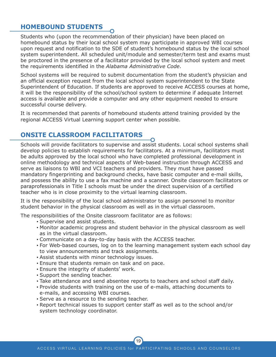## **HOMEBOUND STUDENTS**

Students who (upon the recommendation of their physician) have been placed on homebound status by their local school system may participate in approved WBI courses upon request and notification to the SDE of student's homebound status by the local school system superintendent. All scheduled unit/module and semester/term test and exams must be proctored in the presence of a facilitator provided by the local school system and meet the requirements identified in the *Alabama Administrative Code*.

School systems will be required to submit documentation from the student's physician and an official exception request from the local school system superintendent to the State Superintendent of Education. If students are approved to receive ACCESS courses at home, it will be the responsibility of the school/school system to determine if adequate Internet access is available and provide a computer and any other equipment needed to ensure successful course delivery.

It is recommended that parents of homebound students attend training provided by the regional ACCESS Virtual Learning support center when possible.

## **ONSITE CLASSROOM FACILITATORS**

Schools will provide facilitators to supervise and assist students. Local school systems shall develop policies to establish requirements for facilitators. At a minimum, facilitators must be adults approved by the local school who have completed professional development in online methodology and technical aspects of Web-based instruction through ACCESS and serve as liaisons to WBI and VCI teachers and providers. They must have passed mandatory fingerprinting and background checks, have basic computer and e-mail skills, and possess the ability to use a fax machine and a scanner. Onsite classroom facilitators or paraprofessionals in Title I schools must be under the direct supervision of a certified teacher who is in close proximity to the virtual learning classroom.

It is the responsibility of the local school administrator to assign personnel to monitor student behavior in the physical classroom as well as in the virtual classroom.

The responsibilities of the Onsite classroom facilitator are as follows:

- Supervise and assist students.
- Monitor academic progress and student behavior in the physical classroom as well as in the virtual classroom.
- Communicate on a day-to-day basis with the ACCESS teacher.
- For Web-based courses, log on to the learning management system each school day to view announcements and track assignments.
- Assist students with minor technology issues.
- Ensure that students remain on task and on pace.
- Ensure the integrity of students' work.
- Support the sending teacher.
- Take attendance and send absentee reports to teachers and school staff daily.
- Provide students with training on the use of e-mails, attaching documents to e-mails, and accessing WBI courses.
- Serve as a resource to the sending teacher.
- Report technical issues to support center staff as well as to the school and/or system technology coordinator.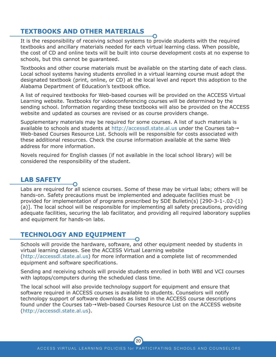## **TEXTBOOKS AND OTHER MATERIALS**

It is the responsibility of receiving school systems to provide students with the required textbooks and ancillary materials needed for each virtual learning class. When possible, the cost of CD and online texts will be built into course development costs at no expense to schools, but this cannot be guaranteed.

Textbooks and other course materials must be available on the starting date of each class. Local school systems having students enrolled in a virtual learning course must adopt the designated textbook (print, online, or CD) at the local level and report this adoption to the Alabama Department of Education's textbook office.

A list of required textbooks for Web-based courses will be provided on the ACCESS Virtual Learning website. Textbooks for videoconferencing courses will be determined by the sending school. Information regarding these textbooks will also be provided on the ACCESS website and updated as courses are revised or as course providers change.

Supplementary materials may be required for some courses. A list of such materials is available to schools and students at <http://accessdl.state.al.us> under the Courses tab→ Web-based Courses Resource List. Schools will be responsible for costs associated with these additional resources. Check the course information available at the same Web address for more information.

Novels required for English classes (if not available in the local school library) will be considered the responsibility of the student.

## **LAB SAFETY**

Labs are required for all science courses. Some of these may be virtual labs; others will be hands-on. Safety precautions must be implemented and adequate facilities must be provided for implementation of programs prescribed by SDE Bulletin(s) [290-3-1-.02-(1) (a)]. The local school will be responsible for implementing all safety precautions, providing adequate facilities, securing the lab facilitator, and providing all required laboratory supplies and equipment for hands-on labs.

#### **TECHNOLOGY AND EQUIPMENT**

 $\Omega$ 

Schools will provide the hardware, software, and other equipment needed by students in virtual learning classes. See the ACCESS Virtual Learning website [\(http://accessdl.state.al.us\)](http://accessdl.state.al.us) for more information and a complete list of recommended equipment and software specifications.

Sending and receiving schools will provide students enrolled in both WBI and VCI courses with laptops/computers during the scheduled class time.

The local school will also provide technology support for equipment and ensure that software required in ACCESS courses is available to students. Counselors will notify technology support of software downloads as listed in the ACCESS course descriptions found under the Courses tab→Web-based Courses Resource List on the ACCESS website [\(http://accessdl.state.al.us\)](http://accessdl.state.al.us).